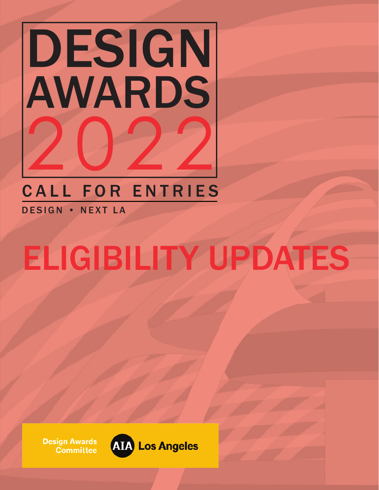

### CALL FOR ENTRIES

DESIGN • NEXT LA

## ELIGIBILITY UPDATES

**Design Awards Committee** 

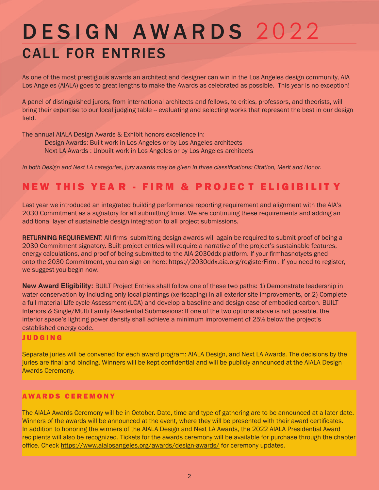### DESIGN AWARDS 2022 CALL FOR ENTRIES

As one of the most prestigious awards an architect and designer can win in the Los Angeles design community, AIA Los Angeles (AIALA) goes to great lengths to make the Awards as celebrated as possible. This year is no exception!

A panel of distinguished jurors, from international architects and fellows, to critics, professors, and theorists, will bring their expertise to our local judging table -- evaluating and selecting works that represent the best in our design field.

The annual AIALA Design Awards & Exhibit honors excellence in:

Design Awards: Built work in Los Angeles or by Los Angeles architects Next LA Awards : Unbuilt work in Los Angeles or by Los Angeles architects

*In both Design and Next LA categories, jury awards may be given in three classifications: Citation, Merit and Honor.*

### NEW THIS YEA R - FIRM & PROJEC T ELIGIBILIT Y

Last year we introduced an integrated building performance reporting requirement and alignment with the AIA's 2030 Commitment as a signatory for all submitting firms. We are continuing these requirements and adding an additional layer of sustainable design integration to all project submissions.

RETURNING REQUIREMENT: All firms submitting design awards will again be required to submit proof of being a 2030 Commitment signatory. Built project entries will require a narrative of the project's sustainable features, energy calculations, and proof of being submitted to the AIA 2030ddx platform. If your firm has not yet signed onto the 2030 Commitment, you can sign on here: https://2030ddx.aia.org/registerFirm . If you need to register, we suggest you begin now.

**New Award Eligibility:** BUILT Project Entries shall follow one of these two paths: 1) Demonstrate leadership in water conservation by including only local plantings (xeriscaping) in all exterior site improvements, or 2) Complete a full material Life cycle Assessment (LCA) and develop a baseline and design case of embodied carbon. BUILT Interiors & Single/Multi Family Residential Submissions: If one of the two options above is not possible, the interior space's lighting power density shall achieve a minimum improvement of 25% below the project's established energy code.

#### JUDGING

Separate juries will be convened for each award program: AIALA Design, and Next LA Awards. The decisions by the juries are final and binding. Winners will be kept confidential and will be publicly announced at the AIALA Design Awards Ceremony.

### AWARDS CEREMONY

The AIALA Awards Ceremony will be in October. Date, time and type of gathering are to be announced at a later date. Winners of the awards will be announced at the event, where they will be presented with their award certificates. In addition to honoring the winners of the AIALA Design and Next LA Awards, the 2022 AIALA Presidential Award recipients will also be recognized. Tickets for the awards ceremony will be available for purchase through the chapter office. Check https://www.aialosangeles.org/awards/design-awards/ for ceremony updates.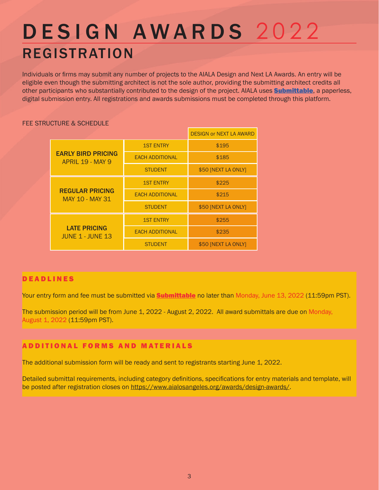### DESIGN AWARDS 2022 REGISTRATION

Individuals or firms may submit any number of projects to the AIALA Design and Next LA Awards. An entry will be eligible even though the submitting architect is not the sole author, providing the submitting architect credits all other participants who substantially contributed to the design of the project. AIALA uses **Submittable**, a paperless, digital submission entry. All registrations and awards submissions must be completed through this platform.

### FEE STRUCTURE & SCHEDULE

|                                                      |                        | <b>DESIGN or NEXT LA AWARD</b> |
|------------------------------------------------------|------------------------|--------------------------------|
| <b>EARLY BIRD PRICING</b><br><b>APRIL 19 - MAY 9</b> | <b>1ST ENTRY</b>       | \$195                          |
|                                                      | <b>EACH ADDITIONAL</b> | \$185                          |
|                                                      | <b>STUDENT</b>         | \$50 [NEXT LA ONLY]            |
| <b>REGULAR PRICING</b><br><b>MAY 10 - MAY 31</b>     | <b>1ST ENTRY</b>       | \$225                          |
|                                                      | <b>EACH ADDITIONAL</b> | \$215                          |
|                                                      | <b>STUDENT</b>         | \$50 [NEXT LA ONLY]            |
| <b>LATE PRICING</b><br><b>JUNE 1 - JUNE 13</b>       | <b>1ST ENTRY</b>       | \$255                          |
|                                                      | <b>EACH ADDITIONAL</b> | \$235                          |
|                                                      | <b>STUDENT</b>         | \$50 [NEXT LA ONLY]            |

#### DEADLINES

Your entry form and fee must be submitted via **Submittable** no later than Monday, June 13, 2022 (11:59pm PST).

The submission period will be from June 1, 2022 - August 2, 2022. All award submittals are due on Monday, August 1, 2022 (11:59pm PST).

### ADDITIONAL FORMS AND MATERIALS

The additional submission form will be ready and sent to registrants starting June 1, 2022.

Detailed submittal requirements, including category definitions, specifications for entry materials and template, will be posted after registration closes on https://www.aialosangeles.org/awards/design-awards/.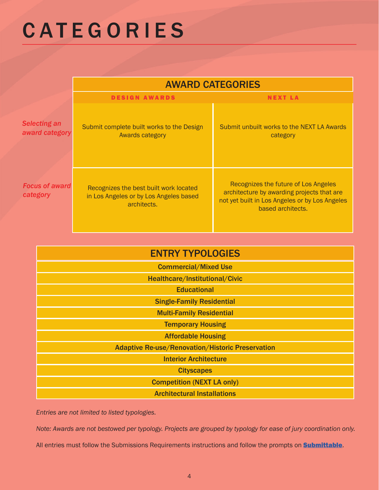### **CATEGORIES**

|                                       | <b>AWARD CATEGORIES</b>                                                                         |                                                                                                                                                           |  |
|---------------------------------------|-------------------------------------------------------------------------------------------------|-----------------------------------------------------------------------------------------------------------------------------------------------------------|--|
|                                       | <b>DESIGN AWARDS</b>                                                                            | <b>NEXT LA</b>                                                                                                                                            |  |
| <b>Selecting an</b><br>award category | Submit complete built works to the Design<br><b>Awards category</b>                             | Submit unbuilt works to the NEXT LA Awards<br>category                                                                                                    |  |
| <b>Focus of award</b><br>category     | Recognizes the best built work located<br>in Los Angeles or by Los Angeles based<br>architects. | Recognizes the future of Los Angeles<br>architecture by awarding projects that are<br>not yet built in Los Angeles or by Los Angeles<br>based architects. |  |

| <b>ENTRY TYPOLOGIES</b>                                 |  |  |
|---------------------------------------------------------|--|--|
| <b>Commercial/Mixed Use</b>                             |  |  |
| Healthcare/Institutional/Civic                          |  |  |
| <b>Educational</b>                                      |  |  |
| <b>Single-Family Residential</b>                        |  |  |
| <b>Multi-Family Residential</b>                         |  |  |
| <b>Temporary Housing</b>                                |  |  |
| <b>Affordable Housing</b>                               |  |  |
| <b>Adaptive Re-use/Renovation/Historic Preservation</b> |  |  |
| <b>Interior Architecture</b>                            |  |  |
| <b>Cityscapes</b>                                       |  |  |
| <b>Competition (NEXT LA only)</b>                       |  |  |
| <b>Architectural Installations</b>                      |  |  |

*Entries are not limited to listed typologies.* 

*Note: Awards are not bestowed per typology. Projects are grouped by typology for ease of jury coordination only.* 

All entries must follow the Submissions Requirements instructions and follow the prompts on **Submittable**.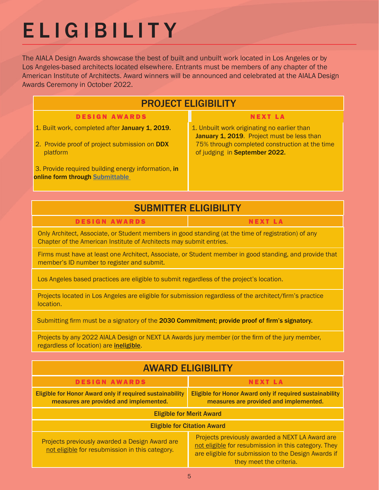### ELIGIBILITY

The AIALA Design Awards showcase the best of built and unbuilt work located in Los Angeles or by Los Angeles-based architects located elsewhere. Entrants must be members of any chapter of the American Institute of Architects. Award winners will be announced and celebrated at the AIALA Design Awards Ceremony in October 2022.

| <b>PROJECT ELIGIBILITY</b>                                                             |                                                                                           |  |  |
|----------------------------------------------------------------------------------------|-------------------------------------------------------------------------------------------|--|--|
| <b>DESIGN AWARDS</b>                                                                   | <b>NEXT LA</b>                                                                            |  |  |
| 1. Built work, completed after January 1, 2019.                                        | 1. Unbuilt work originating no earlier than<br>January 1, 2019. Project must be less than |  |  |
| 2. Provide proof of project submission on DDX<br>platform                              | 75% through completed construction at the time<br>of judging in September 2022.           |  |  |
| 3. Provide required building energy information, in<br>online form through Submittable |                                                                                           |  |  |
|                                                                                        |                                                                                           |  |  |

### SUBMITTER ELIGIBILITY

### DESIGN AWARDS NEXT LA

Only Architect, Associate, or Student members in good standing (at the time of registration) of any Chapter of the American Institute of Architects may submit entries.

Firms must have at least one Architect, Associate, or Student member in good standing, and provide that member's ID number to register and submit.

Los Angeles based practices are eligible to submit regardless of the project's location.

Projects located in Los Angeles are eligible for submission regardless of the architect/firm's practice location.

Submitting firm must be a signatory of the 2030 Commitment; provide proof of firm's signatory.

Projects by any 2022 AIALA Design or NEXT LA Awards jury member (or the firm of the jury member, regardless of location) are ineligible.

| <b>AWARD ELIGIBILITY</b>                                                                                  |                                                                                                                                                                                           |  |  |  |
|-----------------------------------------------------------------------------------------------------------|-------------------------------------------------------------------------------------------------------------------------------------------------------------------------------------------|--|--|--|
| <b>DESIGN AWARDS</b>                                                                                      | <b>NEXT LA</b>                                                                                                                                                                            |  |  |  |
| <b>Eligible for Honor Award only if required sustainability</b><br>measures are provided and implemented. | Eligible for Honor Award only if required sustainability<br>measures are provided and implemented.                                                                                        |  |  |  |
| <b>Eligible for Merit Award</b>                                                                           |                                                                                                                                                                                           |  |  |  |
| <b>Eligible for Citation Award</b>                                                                        |                                                                                                                                                                                           |  |  |  |
| Projects previously awarded a Design Award are<br>not eligible for resubmission in this category.         | Projects previously awarded a NEXT LA Award are<br>not eligible for resubmission in this category. They<br>are eligible for submission to the Design Awards if<br>they meet the criteria. |  |  |  |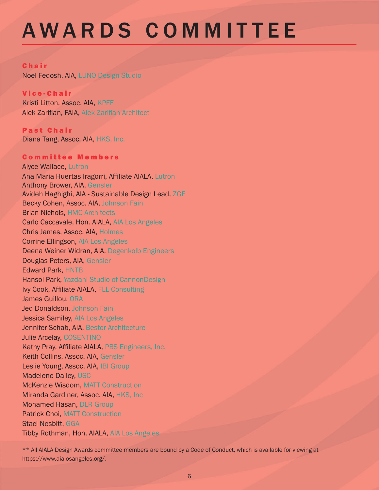### AWARDS COMMITTEE

#### **Chair**

Noel Fedosh, AIA, LUNO Design Studio

#### Vice-Chair

Kristi Litton, Assoc. AIA, KPFF Alek Zarifian, FAIA, Alek Zarifian Architect

Past Chair Diana Tang, Assoc. AIA, HKS, Inc.

#### Committee Members

Alyce Wallace, Lutron Ana Maria Huertas Iragorri, Affiliate AIALA, Lutron Anthony Brower, AIA, Gensler Avideh Haghighi, AIA - Sustainable Design Lead, ZGF Becky Cohen, Assoc. AIA, Johnson Fain Brian Nichols, HMC Architects Carlo Caccavale, Hon. AIALA, AIA Los Angeles Chris James, Assoc. AIA, Holmes Corrine Ellingson, AIA Los Angeles Deena Weiner Widran, AIA, Degenkolb Engineers Douglas Peters, AIA, Gensler Edward Park, HNTB Hansol Park, Yazdani Studio of CannonDesign Ivy Cook, Affiliate AIALA, FLL Consulting James Guillou, ORA Jed Donaldson, Johnson Fain Jessica Samiley, AIA Los Angeles Jennifer Schab, AIA, Bestor Architecture Julie Arcelay, COSENTINO Kathy Pray, Affiliate AIALA, PBS Engineers, Inc. Keith Collins, Assoc. AIA, Gensler Leslie Young, Assoc. AIA, IBI Group Madelene Dailey, USC McKenzie Wisdom, MATT Construction Miranda Gardiner, Assoc. AIA, HKS, Inc Mohamed Hasan, DLR Group Patrick Choi, MATT Construction Staci Nesbitt, GGA Tibby Rothman, Hon. AIALA, AIA Los Angeles

\*\* All AIALA Design Awards committee members are bound by a Code of Conduct, which is available for viewing at https://www.aialosangeles.org/.